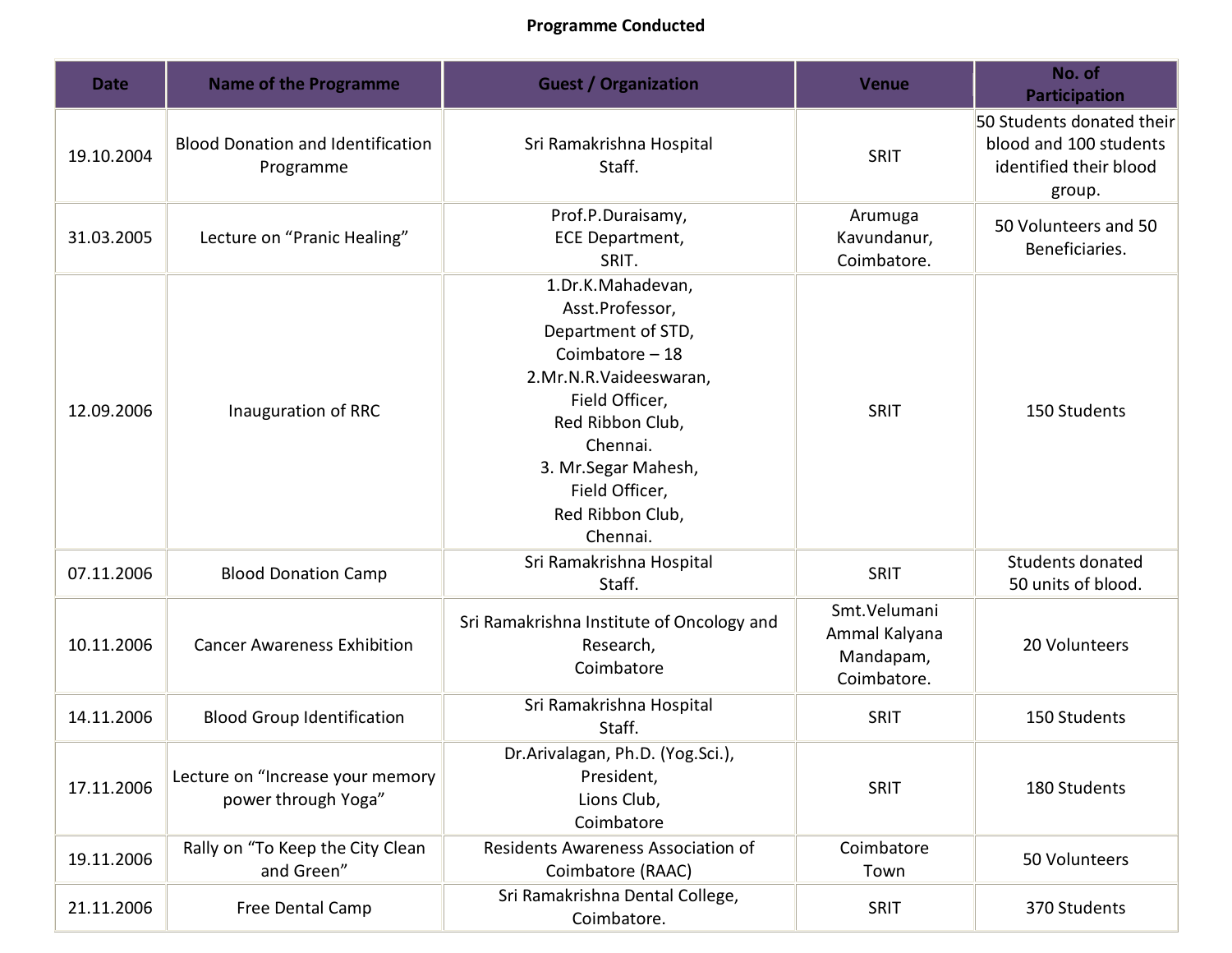## **Programme Conducted**

| <b>Date</b> | <b>Name of the Programme</b>                            | <b>Guest / Organization</b>                                                                                                                                                                                                          | <b>Venue</b>                                              | No. of<br><b>Participation</b>                                                          |
|-------------|---------------------------------------------------------|--------------------------------------------------------------------------------------------------------------------------------------------------------------------------------------------------------------------------------------|-----------------------------------------------------------|-----------------------------------------------------------------------------------------|
| 19.10.2004  | <b>Blood Donation and Identification</b><br>Programme   | Sri Ramakrishna Hospital<br>Staff.                                                                                                                                                                                                   | SRIT                                                      | 50 Students donated their<br>blood and 100 students<br>identified their blood<br>group. |
| 31.03.2005  | Lecture on "Pranic Healing"                             | Prof.P.Duraisamy,<br>ECE Department,<br>SRIT.                                                                                                                                                                                        | Arumuga<br>Kavundanur,<br>Coimbatore.                     | 50 Volunteers and 50<br>Beneficiaries.                                                  |
| 12.09.2006  | Inauguration of RRC                                     | 1.Dr.K.Mahadevan,<br>Asst.Professor,<br>Department of STD,<br>Coimbatore $-18$<br>2.Mr.N.R.Vaideeswaran,<br>Field Officer,<br>Red Ribbon Club,<br>Chennai.<br>3. Mr. Segar Mahesh,<br>Field Officer,<br>Red Ribbon Club,<br>Chennai. | SRIT                                                      | 150 Students                                                                            |
| 07.11.2006  | <b>Blood Donation Camp</b>                              | Sri Ramakrishna Hospital<br>Staff.                                                                                                                                                                                                   | SRIT                                                      | Students donated<br>50 units of blood.                                                  |
| 10.11.2006  | <b>Cancer Awareness Exhibition</b>                      | Sri Ramakrishna Institute of Oncology and<br>Research,<br>Coimbatore                                                                                                                                                                 | Smt.Velumani<br>Ammal Kalyana<br>Mandapam,<br>Coimbatore. | 20 Volunteers                                                                           |
| 14.11.2006  | <b>Blood Group Identification</b>                       | Sri Ramakrishna Hospital<br>Staff.                                                                                                                                                                                                   | SRIT                                                      | 150 Students                                                                            |
| 17.11.2006  | Lecture on "Increase your memory<br>power through Yoga" | Dr.Arivalagan, Ph.D. (Yog.Sci.),<br>President,<br>Lions Club,<br>Coimbatore                                                                                                                                                          | <b>SRIT</b>                                               | 180 Students                                                                            |
| 19.11.2006  | Rally on "To Keep the City Clean<br>and Green"          | Residents Awareness Association of<br>Coimbatore (RAAC)                                                                                                                                                                              | Coimbatore<br>Town                                        | 50 Volunteers                                                                           |
| 21.11.2006  | Free Dental Camp                                        | Sri Ramakrishna Dental College,<br>Coimbatore.                                                                                                                                                                                       | <b>SRIT</b>                                               | 370 Students                                                                            |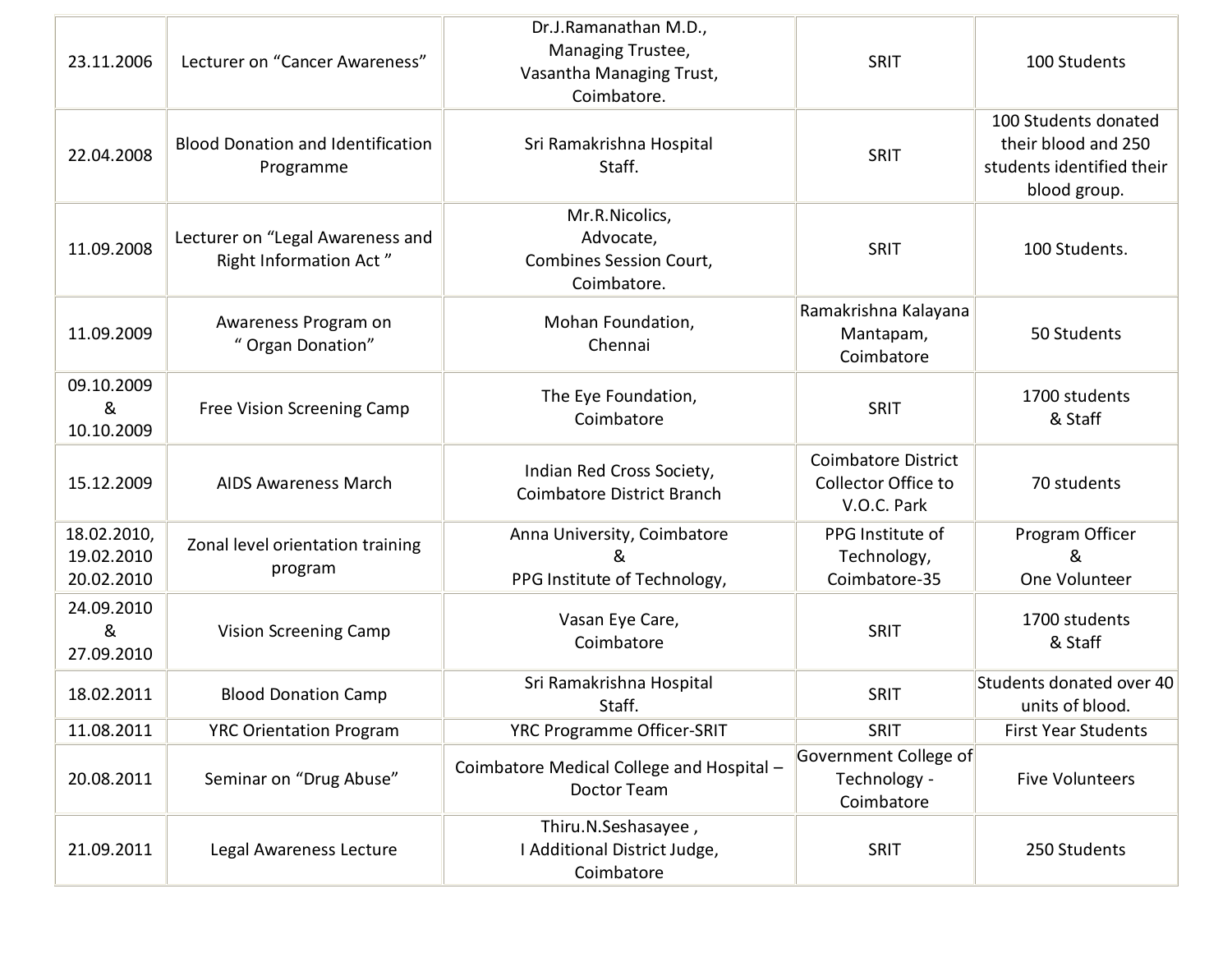| 23.11.2006                              | Lecturer on "Cancer Awareness"                             | Dr.J.Ramanathan M.D.,<br>Managing Trustee,<br>Vasantha Managing Trust,<br>Coimbatore. | SRIT                                                             | 100 Students                                                                             |
|-----------------------------------------|------------------------------------------------------------|---------------------------------------------------------------------------------------|------------------------------------------------------------------|------------------------------------------------------------------------------------------|
| 22.04.2008                              | <b>Blood Donation and Identification</b><br>Programme      | Sri Ramakrishna Hospital<br>Staff.                                                    | SRIT                                                             | 100 Students donated<br>their blood and 250<br>students identified their<br>blood group. |
| 11.09.2008                              | Lecturer on "Legal Awareness and<br>Right Information Act" | Mr.R.Nicolics,<br>Advocate,<br><b>Combines Session Court,</b><br>Coimbatore.          | SRIT                                                             | 100 Students.                                                                            |
| 11.09.2009                              | Awareness Program on<br>" Organ Donation"                  | Mohan Foundation,<br>Chennai                                                          | Ramakrishna Kalayana<br>Mantapam,<br>Coimbatore                  | 50 Students                                                                              |
| 09.10.2009<br>&<br>10.10.2009           | Free Vision Screening Camp                                 | The Eye Foundation,<br>Coimbatore                                                     | SRIT                                                             | 1700 students<br>& Staff                                                                 |
| 15.12.2009                              | <b>AIDS Awareness March</b>                                | Indian Red Cross Society,<br><b>Coimbatore District Branch</b>                        | <b>Coimbatore District</b><br>Collector Office to<br>V.O.C. Park | 70 students                                                                              |
| 18.02.2010,<br>19.02.2010<br>20.02.2010 | Zonal level orientation training<br>program                | Anna University, Coimbatore<br>&<br>PPG Institute of Technology,                      | PPG Institute of<br>Technology,<br>Coimbatore-35                 | Program Officer<br>&<br>One Volunteer                                                    |
| 24.09.2010<br>&<br>27.09.2010           | <b>Vision Screening Camp</b>                               | Vasan Eye Care,<br>Coimbatore                                                         | SRIT                                                             | 1700 students<br>& Staff                                                                 |
| 18.02.2011                              | <b>Blood Donation Camp</b>                                 | Sri Ramakrishna Hospital<br>Staff.                                                    | SRIT                                                             | Students donated over 40<br>units of blood.                                              |
| 11.08.2011                              | <b>YRC Orientation Program</b>                             | YRC Programme Officer-SRIT                                                            | <b>SRIT</b>                                                      | <b>First Year Students</b>                                                               |
| 20.08.2011                              | Seminar on "Drug Abuse"                                    | Coimbatore Medical College and Hospital -<br>Doctor Team                              | Government College of<br>Technology -<br>Coimbatore              | <b>Five Volunteers</b>                                                                   |
| 21.09.2011                              | Legal Awareness Lecture                                    | Thiru.N.Seshasayee,<br>I Additional District Judge,<br>Coimbatore                     | <b>SRIT</b>                                                      | 250 Students                                                                             |